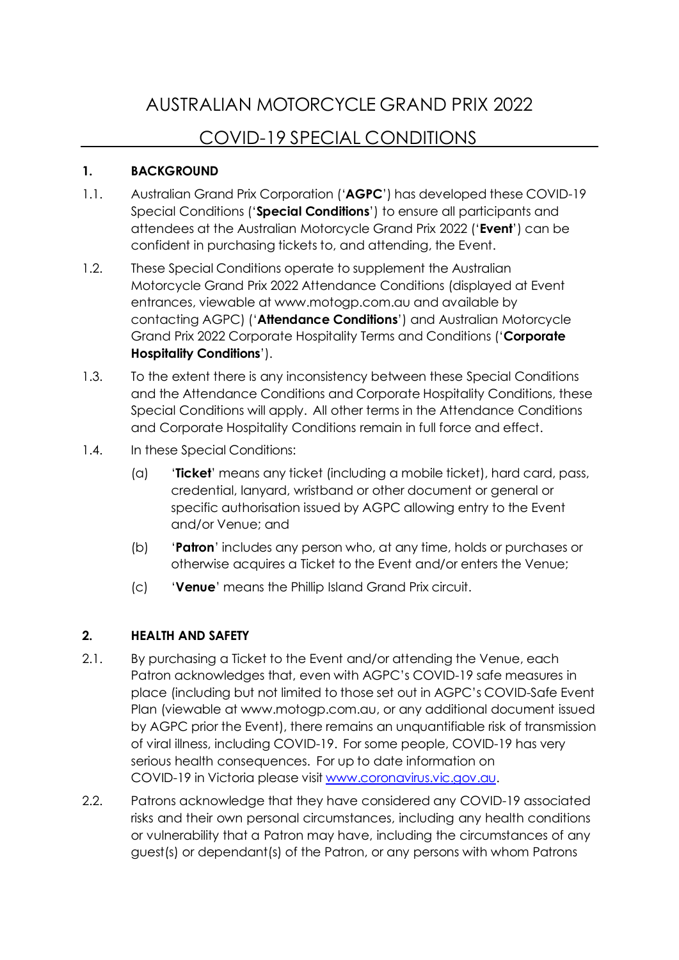# AUSTRALIAN MOTORCYCLE GRAND PRIX 2022 COVID-19 SPECIAL CONDITIONS

## **1. BACKGROUND**

- 1.1. Australian Grand Prix Corporation ('**AGPC**') has developed these COVID-19 Special Conditions ('**Special Conditions**') to ensure all participants and attendees at the Australian Motorcycle Grand Prix 2022 ('**Event**') can be confident in purchasing tickets to, and attending, the Event.
- 1.2. These Special Conditions operate to supplement the Australian Motorcycle Grand Prix 2022 Attendance Conditions (displayed at Event entrances, viewable a[t www.motogp.com.au](http://www.motogp.com.au/) and available by contacting AGPC) ('**Attendance Conditions**') and Australian Motorcycle Grand Prix 2022 Corporate Hospitality Terms and Conditions ('**Corporate Hospitality Conditions**').
- 1.3. To the extent there is any inconsistency between these Special Conditions and the Attendance Conditions and Corporate Hospitality Conditions, these Special Conditions will apply. All other terms in the Attendance Conditions and Corporate Hospitality Conditions remain in full force and effect.
- 1.4. In these Special Conditions:
	- (a) '**Ticket**' means any ticket (including a mobile ticket), hard card, pass, credential, lanyard, wristband or other document or general or specific authorisation issued by AGPC allowing entry to the Event and/or Venue; and
	- (b) '**Patron**' includes any person who, at any time, holds or purchases or otherwise acquires a Ticket to the Event and/or enters the Venue;
	- (c) '**Venue**' means the Phillip Island Grand Prix circuit.

## **2. HEALTH AND SAFETY**

- 2.1. By purchasing a Ticket to the Event and/or attending the Venue, each Patron acknowledges that, even with AGPC's COVID-19 safe measures in place (including but not limited to those set out in AGPC's COVID-Safe Event Plan (viewable at [www.motogp.com.au,](http://www.motogp.com.au/) or any additional document issued by AGPC prior the Event), there remains an unquantifiable risk of transmission of viral illness, including COVID-19. For some people, COVID-19 has very serious health consequences. For up to date information on COVID-19 in Victoria please visit [www.coronavirus.vic.gov.au.](http://www.coronavirus.vic.gov.au/)
- 2.2. Patrons acknowledge that they have considered any COVID-19 associated risks and their own personal circumstances, including any health conditions or vulnerability that a Patron may have, including the circumstances of any guest(s) or dependant(s) of the Patron, or any persons with whom Patrons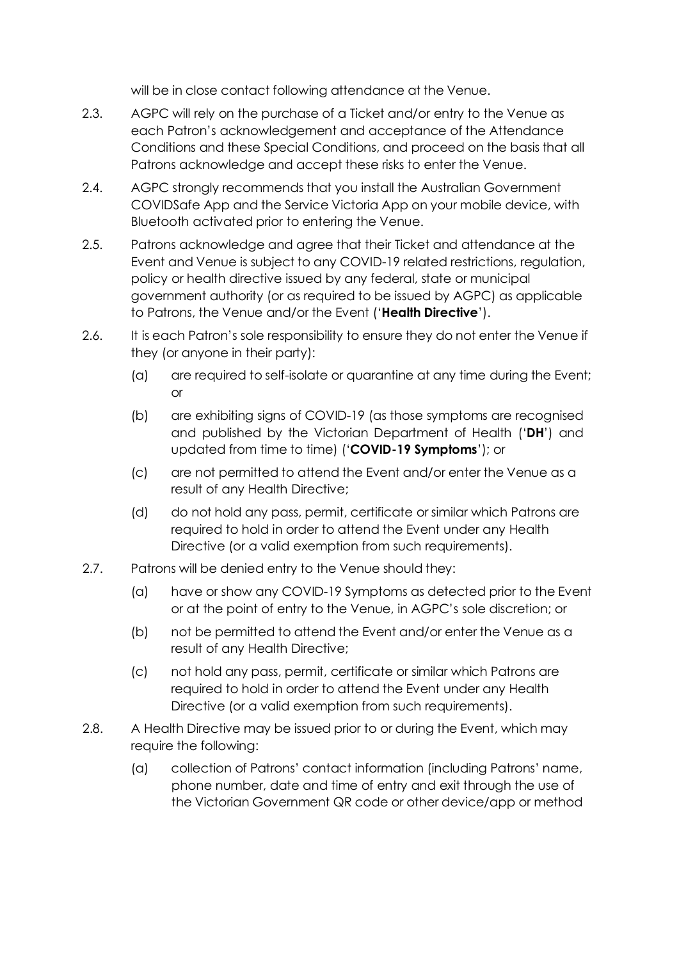will be in close contact following attendance at the Venue.

- 2.3. AGPC will rely on the purchase of a Ticket and/or entry to the Venue as each Patron's acknowledgement and acceptance of the Attendance Conditions and these Special Conditions, and proceed on the basis that all Patrons acknowledge and accept these risks to enter the Venue.
- 2.4. AGPC strongly recommends that you install the Australian Government COVIDSafe App and the Service Victoria App on your mobile device, with Bluetooth activated prior to entering the Venue.
- 2.5. Patrons acknowledge and agree that their Ticket and attendance at the Event and Venue is subject to any COVID-19 related restrictions, regulation, policy or health directive issued by any federal, state or municipal government authority (or as required to be issued by AGPC) as applicable to Patrons, the Venue and/or the Event ('**Health Directive**').
- 2.6. It is each Patron's sole responsibility to ensure they do not enter the Venue if they (or anyone in their party):
	- (a) are required to self-isolate or quarantine at any time during the Event; or
	- (b) are exhibiting signs of COVID-19 (as those symptoms are recognised and published by the Victorian Department of Health ('**DH**') and updated from time to time) ('**COVID-19 Symptoms**'); or
	- (c) are not permitted to attend the Event and/or enter the Venue as a result of any Health Directive;
	- (d) do not hold any pass, permit, certificate or similar which Patrons are required to hold in order to attend the Event under any Health Directive (or a valid exemption from such requirements).
- 2.7. Patrons will be denied entry to the Venue should they:
	- (a) have or show any COVID-19 Symptoms as detected prior to the Event or at the point of entry to the Venue, in AGPC's sole discretion; or
	- (b) not be permitted to attend the Event and/or enter the Venue as a result of any Health Directive;
	- (c) not hold any pass, permit, certificate or similar which Patrons are required to hold in order to attend the Event under any Health Directive (or a valid exemption from such requirements).
- 2.8. A Health Directive may be issued prior to or during the Event, which may require the following:
	- (a) collection of Patrons' contact information (including Patrons' name, phone number, date and time of entry and exit through the use of the Victorian Government QR code or other device/app or method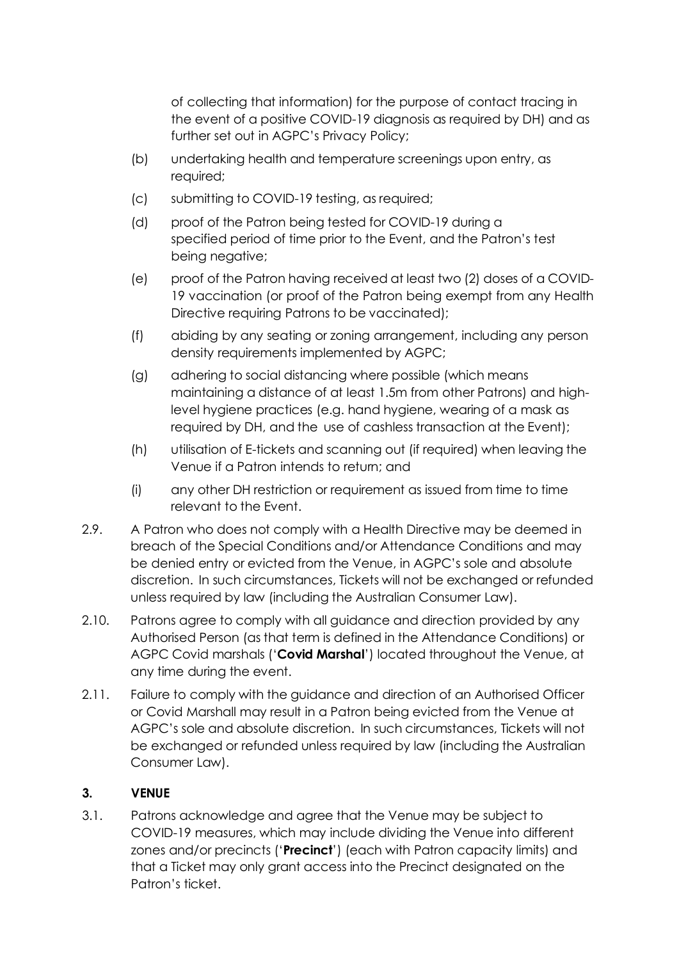of collecting that information) for the purpose of contact tracing in the event of a positive COVID-19 diagnosis as required by DH) and as further set out in AGPC's Privacy Policy;

- (b) undertaking health and temperature screenings upon entry, as required;
- (c) submitting to COVID-19 testing, as required;
- (d) proof of the Patron being tested for COVID-19 during a specified period of time prior to the Event, and the Patron's test being negative;
- (e) proof of the Patron having received at least two (2) doses of a COVID-19 vaccination (or proof of the Patron being exempt from any Health Directive requiring Patrons to be vaccinated);
- (f) abiding by any seating or zoning arrangement, including any person density requirements implemented by AGPC;
- (g) adhering to social distancing where possible (which means maintaining a distance of at least 1.5m from other Patrons) and highlevel hygiene practices (e.g. hand hygiene, wearing of a mask as required by DH, and the use of cashless transaction at the Event);
- (h) utilisation of E-tickets and scanning out (if required) when leaving the Venue if a Patron intends to return; and
- (i) any other DH restriction or requirement as issued from time to time relevant to the Event.
- 2.9. A Patron who does not comply with a Health Directive may be deemed in breach of the Special Conditions and/or Attendance Conditions and may be denied entry or evicted from the Venue, in AGPC's sole and absolute discretion. In such circumstances, Tickets will not be exchanged or refunded unless required by law (including the Australian Consumer Law).
- 2.10. Patrons agree to comply with all guidance and direction provided by any Authorised Person (as that term is defined in the Attendance Conditions) or AGPC Covid marshals ('**Covid Marshal**') located throughout the Venue, at any time during the event.
- 2.11. Failure to comply with the guidance and direction of an Authorised Officer or Covid Marshall may result in a Patron being evicted from the Venue at AGPC's sole and absolute discretion. In such circumstances, Tickets will not be exchanged or refunded unless required by law (including the Australian Consumer Law).

### **3. VENUE**

3.1. Patrons acknowledge and agree that the Venue may be subject to COVID-19 measures, which may include dividing the Venue into different zones and/or precincts ('**Precinct**') (each with Patron capacity limits) and that a Ticket may only grant access into the Precinct designated on the Patron's ticket.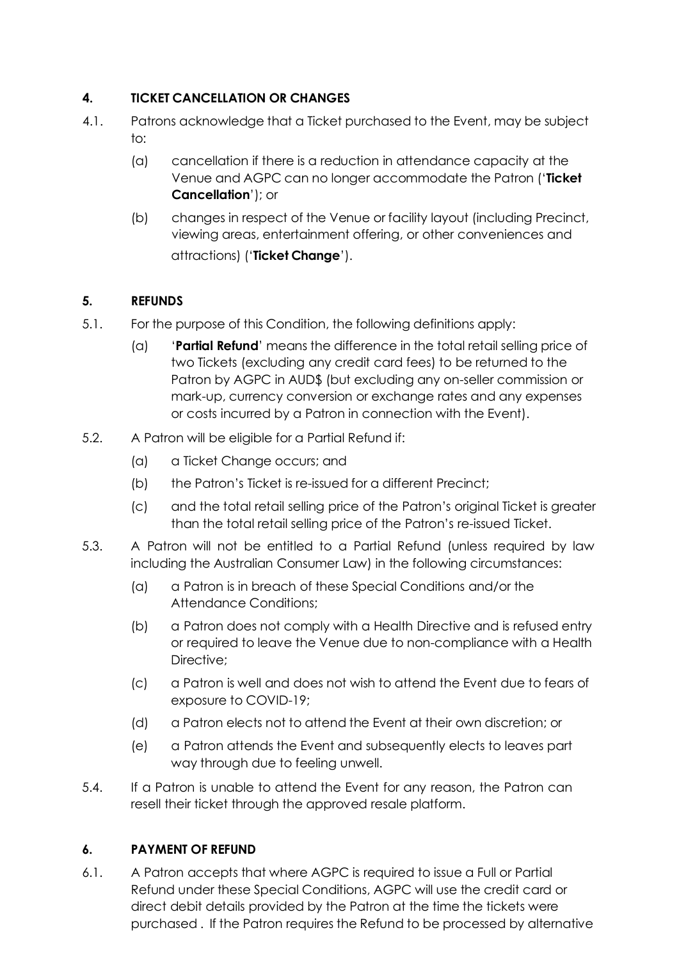# **4. TICKET CANCELLATION OR CHANGES**

- 4.1. Patrons acknowledge that a Ticket purchased to the Event, may be subject to:
	- (a) cancellation if there is a reduction in attendance capacity at the Venue and AGPC can no longer accommodate the Patron ('**Ticket Cancellation**'); or
	- (b) changes in respect of the Venue or facility layout (including Precinct, viewing areas, entertainment offering, or other conveniences and attractions) ('**Ticket Change**').

# **5. REFUNDS**

- 5.1. For the purpose of this Condition, the following definitions apply:
	- (a) '**Partial Refund**' means the difference in the total retail selling price of two Tickets (excluding any credit card fees) to be returned to the Patron by AGPC in AUD\$ (but excluding any on-seller commission or mark-up, currency conversion or exchange rates and any expenses or costs incurred by a Patron in connection with the Event).
- 5.2. A Patron will be eligible for a Partial Refund if:
	- (a) a Ticket Change occurs; and
	- (b) the Patron's Ticket is re-issued for a different Precinct;
	- (c) and the total retail selling price of the Patron's original Ticket is greater than the total retail selling price of the Patron's re-issued Ticket.
- 5.3. A Patron will not be entitled to a Partial Refund (unless required by law including the Australian Consumer Law) in the following circumstances:
	- (a) a Patron is in breach of these Special Conditions and/or the Attendance Conditions;
	- (b) a Patron does not comply with a Health Directive and is refused entry or required to leave the Venue due to non-compliance with a Health Directive:
	- (c) a Patron is well and does not wish to attend the Event due to fears of exposure to COVID-19;
	- (d) a Patron elects not to attend the Event at their own discretion; or
	- (e) a Patron attends the Event and subsequently elects to leaves part way through due to feeling unwell.
- 5.4. If a Patron is unable to attend the Event for any reason, the Patron can resell their ticket through the approved resale platform.

## **6. PAYMENT OF REFUND**

6.1. A Patron accepts that where AGPC is required to issue a Full or Partial Refund under these Special Conditions, AGPC will use the credit card or direct debit details provided by the Patron at the time the tickets were purchased . If the Patron requires the Refund to be processed by alternative